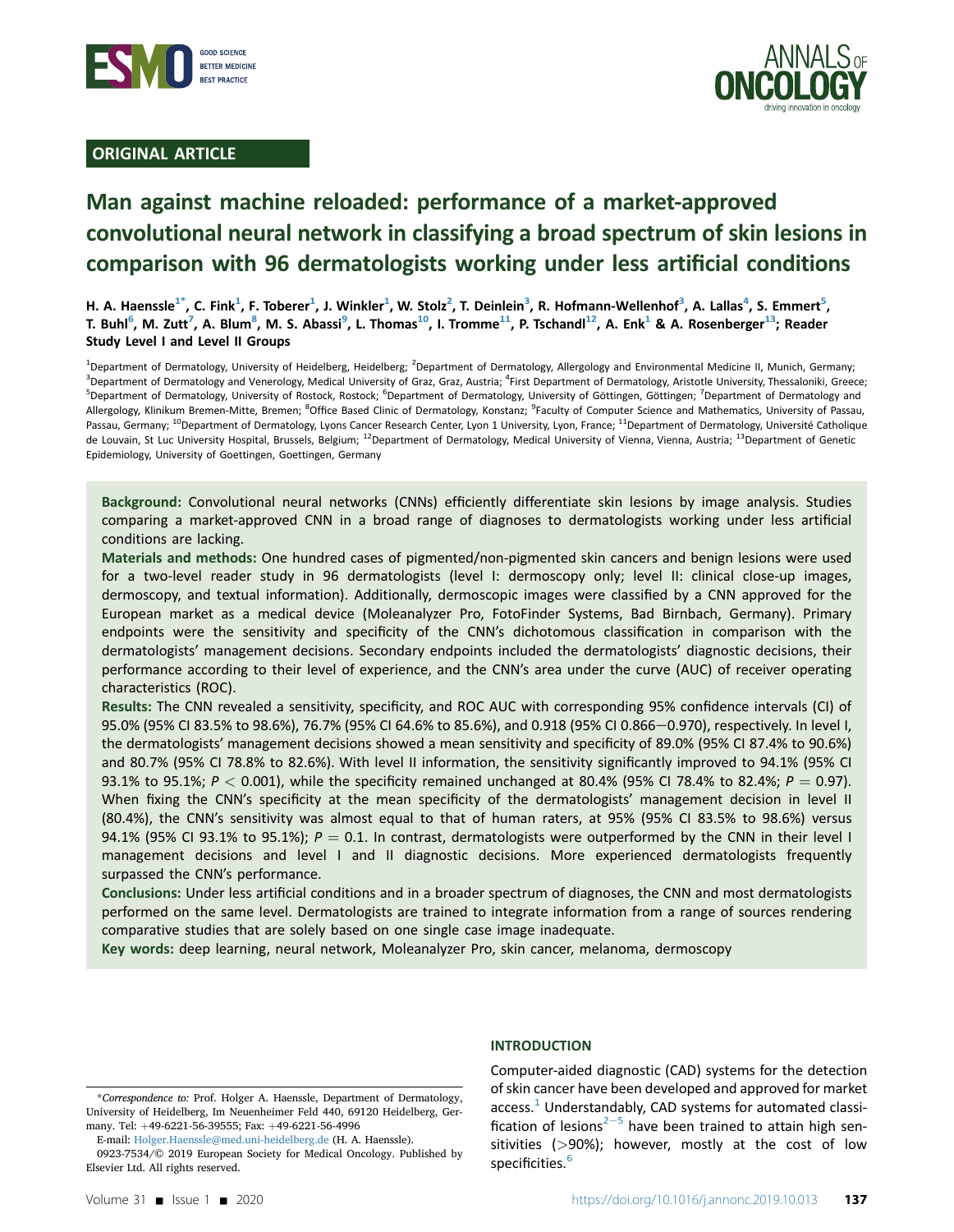

# ORIGINAL ARTICLE



# Man against machine reloaded: performance of a market-approved convolutional neural network in classifying a broad spectrum of skin lesions in comparison with 96 dermatologists working under less artificial conditions

H. A. Haenssle<sup>1\*</sup>, C. Fink<sup>1</sup>, F. Toberer<sup>1</sup>, J. Winkler<sup>1</sup>, W. Stolz<sup>2</sup>, T. Deinlein<sup>3</sup>, R. Hofmann-Wellenhof<sup>3</sup>, A. Lallas<sup>4</sup>, S. Emmert<sup>5</sup>, T. Buhl $^6$ , M. Zutt<sup>7</sup>, A. Blum $^8$ , M. S. Abassi $^9$ , L. Thomas $^{10}$ , I. Tromme $^{11}$ , P. Tschandl $^{12}$ , A. Enk $^1$  & A. Rosenberger $^{13}$ ; Reader Study Level I and Level II Groups

<sup>1</sup>Department of Dermatology, University of Heidelberg, Heidelberg; <sup>2</sup>Department of Dermatology, Allergology and Environmental Medicine II, Munich, Germany; <sup>3</sup>Department of Dermatology and Venerology, Medical University of Graz, Graz, Austria; <sup>4</sup>First Department of Dermatology, Aristotle University, Thessaloniki, Greece; <sup>5</sup>Department of Dermatology, University of Rostock, Rostock; <sup>6</sup>Department of Dermatology, University of Göttingen, Göttingen; <sup>7</sup>Department of Dermatology and Allergology, Klinikum Bremen-Mitte, Bremen; <sup>8</sup>Office Based Clinic of Dermatology, Konstanz; <sup>9</sup>Faculty of Computer Science and Mathematics, University of Passau, Passau, Germany; <sup>10</sup>Department of Dermatology, Lyons Cancer Research Center, Lyon 1 University, Lyon, France; <sup>11</sup>Department of Dermatology, Université Catholique de Louvain, St Luc University Hospital, Brussels, Belgium; <sup>12</sup>Department of Dermatology, Medical University of Vienna, Vienna, Austria; <sup>13</sup>Department of Genetic Epidemiology, University of Goettingen, Goettingen, Germany

Background: Convolutional neural networks (CNNs) efficiently differentiate skin lesions by image analysis. Studies comparing a market-approved CNN in a broad range of diagnoses to dermatologists working under less artificial conditions are lacking.

Materials and methods: One hundred cases of pigmented/non-pigmented skin cancers and benign lesions were used for a two-level reader study in 96 dermatologists (level I: dermoscopy only; level II: clinical close-up images, dermoscopy, and textual information). Additionally, dermoscopic images were classified by a CNN approved for the European market as a medical device (Moleanalyzer Pro, FotoFinder Systems, Bad Birnbach, Germany). Primary endpoints were the sensitivity and specificity of the CNN's dichotomous classification in comparison with the dermatologists' management decisions. Secondary endpoints included the dermatologists' diagnostic decisions, their performance according to their level of experience, and the CNN's area under the curve (AUC) of receiver operating characteristics (ROC).

Results: The CNN revealed a sensitivity, specificity, and ROC AUC with corresponding 95% confidence intervals (CI) of 95.0% (95% CI 83.5% to 98.6%), 76.7% (95% CI 64.6% to 85.6%), and 0.918 (95% CI 0.866-0.970), respectively. In level I, the dermatologists' management decisions showed a mean sensitivity and specificity of 89.0% (95% CI 87.4% to 90.6%) and 80.7% (95% CI 78.8% to 82.6%). With level II information, the sensitivity significantly improved to 94.1% (95% CI 93.1% to 95.1%;  $P < 0.001$ ), while the specificity remained unchanged at 80.4% (95% CI 78.4% to 82.4%;  $P = 0.97$ ). When fixing the CNN's specificity at the mean specificity of the dermatologists' management decision in level II (80.4%), the CNN's sensitivity was almost equal to that of human raters, at 95% (95% CI 83.5% to 98.6%) versus 94.1% (95% CI 93.1% to 95.1%);  $P = 0.1$ . In contrast, dermatologists were outperformed by the CNN in their level I management decisions and level I and II diagnostic decisions. More experienced dermatologists frequently surpassed the CNN's performance.

Conclusions: Under less artificial conditions and in a broader spectrum of diagnoses, the CNN and most dermatologists performed on the same level. Dermatologists are trained to integrate information from a range of sources rendering comparative studies that are solely based on one single case image inadequate.

Key words: deep learning, neural network, Moleanalyzer Pro, skin cancer, melanoma, dermoscopy

\*Correspondence to: Prof. Holger A. Haenssle, Department of Dermatology, University of Heidelberg, Im Neuenheimer Feld 440, 69120 Heidelberg, Germany. Tel: +49-6221-56-39555; Fax: +49-6221-56-4996

E-mail: [Holger.Haenssle@med.uni-heidelberg.de](mailto:Holger.Haenssle@med.uni-heidelberg.de) (H. A. Haenssle).

# INTRODUCTION

Computer-aided diagnostic (CAD) systems for the detection of skin cancer have been developed and approved for market access.<sup>1</sup> Understandably, CAD systems for automated classification of lesions<sup> $2-5$  $2-5$ </sup> have been trained to attain high sensitivities ( $>$ 90%); however, mostly at the cost of low specificities.<sup>[6](#page-6-0)</sup>

<sup>0923-7534/© 2019</sup> European Society for Medical Oncology. Published by Elsevier Ltd. All rights reserved.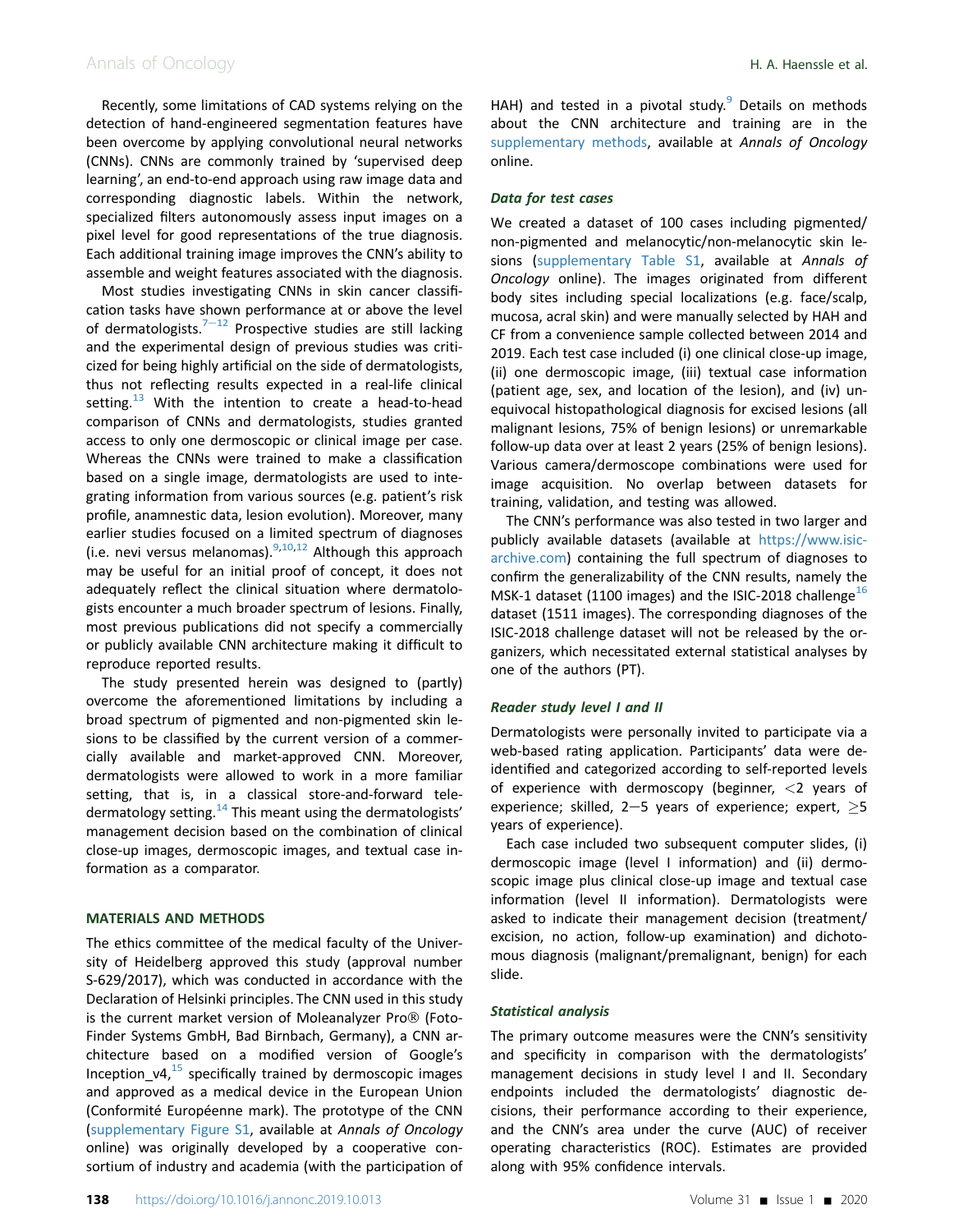# Annals of Oncology **H. A. Haenssle et al.**

Recently, some limitations of CAD systems relying on the detection of hand-engineered segmentation features have been overcome by applying convolutional neural networks (CNNs). CNNs are commonly trained by 'supervised deep learning', an end-to-end approach using raw image data and corresponding diagnostic labels. Within the network, specialized filters autonomously assess input images on a pixel level for good representations of the true diagnosis. Each additional training image improves the CNN's ability to assemble and weight features associated with the diagnosis.

Most studies investigating CNNs in skin cancer classification tasks have shown performance at or above the level of dermatologists. $7-12$  $7-12$  $7-12$  Prospective studies are still lacking and the experimental design of previous studies was criticized for being highly artificial on the side of dermatologists, thus not reflecting results expected in a real-life clinical setting.<sup>13</sup> With the intention to create a head-to-head comparison of CNNs and dermatologists, studies granted access to only one dermoscopic or clinical image per case. Whereas the CNNs were trained to make a classification based on a single image, dermatologists are used to integrating information from various sources (e.g. patient's risk profile, anamnestic data, lesion evolution). Moreover, many earlier studies focused on a limited spectrum of diagnoses (i.e. nevi versus melanomas).  $9,10,12$  $9,10,12$  $9,10,12$  Although this approach may be useful for an initial proof of concept, it does not adequately reflect the clinical situation where dermatologists encounter a much broader spectrum of lesions. Finally, most previous publications did not specify a commercially or publicly available CNN architecture making it difficult to reproduce reported results.

The study presented herein was designed to (partly) overcome the aforementioned limitations by including a broad spectrum of pigmented and non-pigmented skin lesions to be classified by the current version of a commercially available and market-approved CNN. Moreover, dermatologists were allowed to work in a more familiar setting, that is, in a classical store-and-forward teledermatology setting. $^{14}$  $^{14}$  $^{14}$  This meant using the dermatologists' management decision based on the combination of clinical close-up images, dermoscopic images, and textual case information as a comparator.

## MATERIALS AND METHODS

The ethics committee of the medical faculty of the University of Heidelberg approved this study (approval number S-629/2017), which was conducted in accordance with the Declaration of Helsinki principles. The CNN used in this study is the current market version of Moleanalyzer Pro® (Foto-Finder Systems GmbH, Bad Birnbach, Germany), a CNN architecture based on a modified version of Google's Inception  $v4$ ,<sup>[15](#page-6-0)</sup> specifically trained by dermoscopic images and approved as a medical device in the European Union (Conformité Européenne mark). The prototype of the CNN (supplementary Figure S1, available at Annals of Oncology online) was originally developed by a cooperative consortium of industry and academia (with the participation of

# Data for test cases

online.

We created a dataset of 100 cases including pigmented/ non-pigmented and melanocytic/non-melanocytic skin lesions (supplementary Table S1, available at Annals of Oncology online). The images originated from different body sites including special localizations (e.g. face/scalp, mucosa, acral skin) and were manually selected by HAH and CF from a convenience sample collected between 2014 and 2019. Each test case included (i) one clinical close-up image, (ii) one dermoscopic image, (iii) textual case information (patient age, sex, and location of the lesion), and (iv) unequivocal histopathological diagnosis for excised lesions (all malignant lesions, 75% of benign lesions) or unremarkable follow-up data over at least 2 years (25% of benign lesions). Various camera/dermoscope combinations were used for image acquisition. No overlap between datasets for training, validation, and testing was allowed.

The CNN's performance was also tested in two larger and publicly available datasets (available at [https://www.isic](https://www.isic-archive.com)[archive.com\)](https://www.isic-archive.com) containing the full spectrum of diagnoses to confirm the generalizability of the CNN results, namely the MSK-1 dataset (1100 images) and the ISIC-2018 challenge<sup>[16](#page-6-0)</sup> dataset (1511 images). The corresponding diagnoses of the ISIC-2018 challenge dataset will not be released by the organizers, which necessitated external statistical analyses by one of the authors (PT).

## Reader study level I and II

Dermatologists were personally invited to participate via a web-based rating application. Participants' data were deidentified and categorized according to self-reported levels of experience with dermoscopy (beginner,  $\lt 2$  years of experience; skilled,  $2-5$  years of experience; expert,  $\geq 5$ years of experience).

Each case included two subsequent computer slides, (i) dermoscopic image (level I information) and (ii) dermoscopic image plus clinical close-up image and textual case information (level II information). Dermatologists were asked to indicate their management decision (treatment/ excision, no action, follow-up examination) and dichotomous diagnosis (malignant/premalignant, benign) for each slide.

# Statistical analysis

The primary outcome measures were the CNN's sensitivity and specificity in comparison with the dermatologists' management decisions in study level I and II. Secondary endpoints included the dermatologists' diagnostic decisions, their performance according to their experience, and the CNN's area under the curve (AUC) of receiver operating characteristics (ROC). Estimates are provided along with 95% confidence intervals.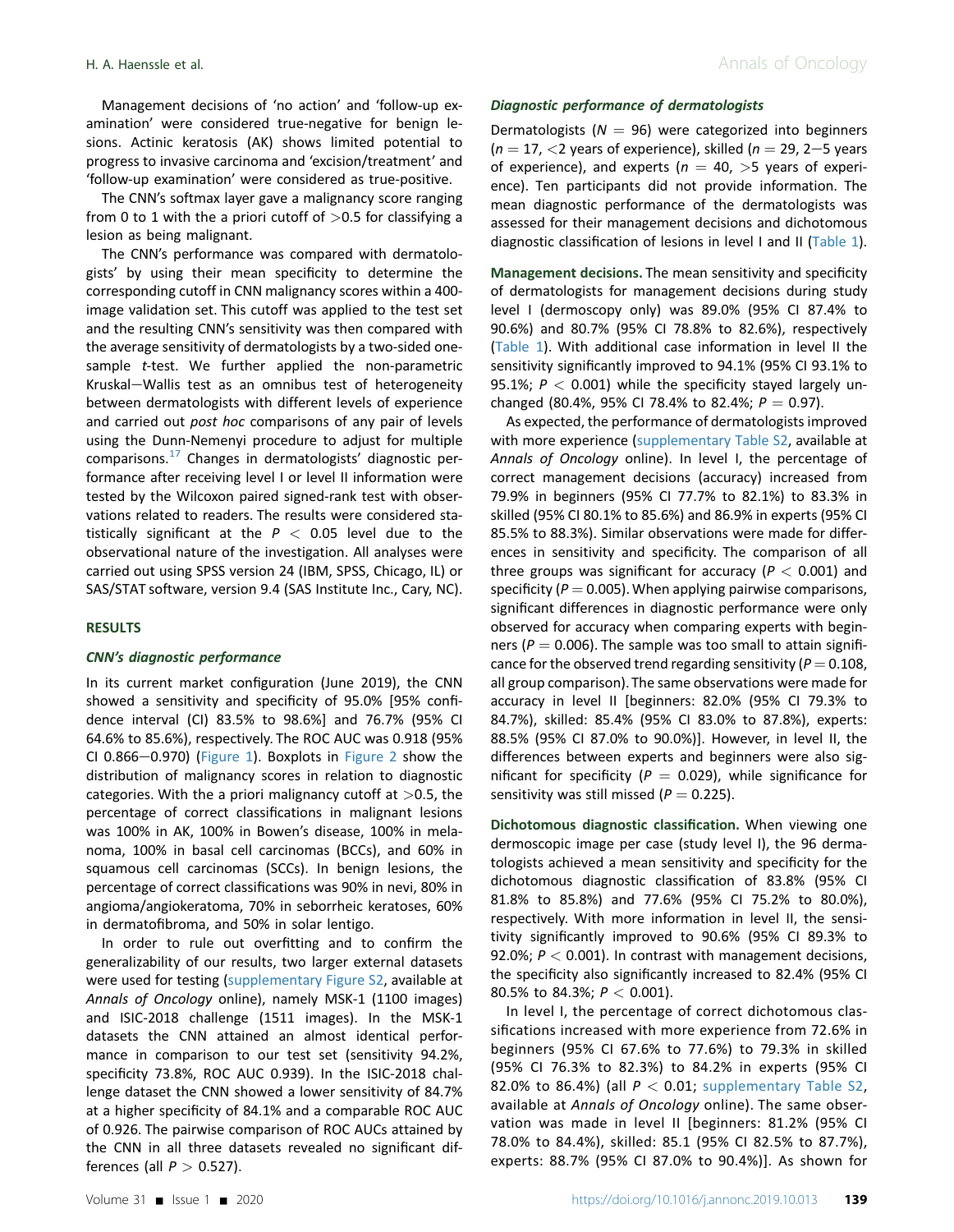Management decisions of 'no action' and 'follow-up examination' were considered true-negative for benign lesions. Actinic keratosis (AK) shows limited potential to progress to invasive carcinoma and 'excision/treatment' and 'follow-up examination' were considered as true-positive.

The CNN's softmax layer gave a malignancy score ranging from 0 to 1 with the a priori cutoff of  $>0.5$  for classifying a lesion as being malignant.

The CNN's performance was compared with dermatologists' by using their mean specificity to determine the corresponding cutoff in CNN malignancy scores within a 400 image validation set. This cutoff was applied to the test set and the resulting CNN's sensitivity was then compared with the average sensitivity of dermatologists by a two-sided onesample *t*-test. We further applied the non-parametric Kruskal-Wallis test as an omnibus test of heterogeneity between dermatologists with different levels of experience and carried out post hoc comparisons of any pair of levels using the Dunn-Nemenyi procedure to adjust for multiple comparisons.[17](#page-6-0) Changes in dermatologists' diagnostic performance after receiving level I or level II information were tested by the Wilcoxon paired signed-rank test with observations related to readers. The results were considered statistically significant at the  $P < 0.05$  level due to the observational nature of the investigation. All analyses were carried out using SPSS version 24 (IBM, SPSS, Chicago, IL) or SAS/STAT software, version 9.4 (SAS Institute Inc., Cary, NC).

## RESULTS

#### CNN's diagnostic performance

In its current market configuration (June 2019), the CNN showed a sensitivity and specificity of 95.0% [95% confidence interval (CI) 83.5% to 98.6%] and 76.7% (95% CI 64.6% to 85.6%), respectively. The ROC AUC was 0.918 (95% CI 0.866 $-$ 0.970) ([Figure 1\)](#page-3-0). Boxplots in [Figure 2](#page-4-0) show the distribution of malignancy scores in relation to diagnostic categories. With the a priori malignancy cutoff at  $>0.5$ , the percentage of correct classifications in malignant lesions was 100% in AK, 100% in Bowen's disease, 100% in melanoma, 100% in basal cell carcinomas (BCCs), and 60% in squamous cell carcinomas (SCCs). In benign lesions, the percentage of correct classifications was 90% in nevi, 80% in angioma/angiokeratoma, 70% in seborrheic keratoses, 60% in dermatofibroma, and 50% in solar lentigo.

In order to rule out overfitting and to confirm the generalizability of our results, two larger external datasets were used for testing (supplementary Figure S2, available at Annals of Oncology online), namely MSK-1 (1100 images) and ISIC-2018 challenge (1511 images). In the MSK-1 datasets the CNN attained an almost identical performance in comparison to our test set (sensitivity 94.2%, specificity 73.8%, ROC AUC 0.939). In the ISIC-2018 challenge dataset the CNN showed a lower sensitivity of 84.7% at a higher specificity of 84.1% and a comparable ROC AUC of 0.926. The pairwise comparison of ROC AUCs attained by the CNN in all three datasets revealed no significant differences (all  $P > 0.527$ ).

# Diagnostic performance of dermatologists

Dermatologists ( $N = 96$ ) were categorized into beginners  $(n = 17, < 2$  years of experience), skilled  $(n = 29, 2-5)$  years of experience), and experts ( $n = 40$ ,  $>5$  years of experience). Ten participants did not provide information. The mean diagnostic performance of the dermatologists was assessed for their management decisions and dichotomous diagnostic classification of lesions in level I and II ([Table 1\)](#page-4-0).

Management decisions. The mean sensitivity and specificity of dermatologists for management decisions during study level I (dermoscopy only) was 89.0% (95% CI 87.4% to 90.6%) and 80.7% (95% CI 78.8% to 82.6%), respectively [\(Table 1](#page-4-0)). With additional case information in level II the sensitivity significantly improved to 94.1% (95% CI 93.1% to 95.1%;  $P < 0.001$ ) while the specificity stayed largely unchanged (80.4%, 95% CI 78.4% to 82.4%;  $P = 0.97$ ).

As expected, the performance of dermatologists improved with more experience (supplementary Table S2, available at Annals of Oncology online). In level I, the percentage of correct management decisions (accuracy) increased from 79.9% in beginners (95% CI 77.7% to 82.1%) to 83.3% in skilled (95% CI 80.1% to 85.6%) and 86.9% in experts (95% CI 85.5% to 88.3%). Similar observations were made for differences in sensitivity and specificity. The comparison of all three groups was significant for accuracy ( $P < 0.001$ ) and specificity ( $P = 0.005$ ). When applying pairwise comparisons, significant differences in diagnostic performance were only observed for accuracy when comparing experts with beginners ( $P = 0.006$ ). The sample was too small to attain significance for the observed trend regarding sensitivity ( $P = 0.108$ , all group comparison).The same observations were made for accuracy in level II [beginners: 82.0% (95% CI 79.3% to 84.7%), skilled: 85.4% (95% CI 83.0% to 87.8%), experts: 88.5% (95% CI 87.0% to 90.0%)]. However, in level II, the differences between experts and beginners were also significant for specificity ( $P = 0.029$ ), while significance for sensitivity was still missed ( $P = 0.225$ ).

Dichotomous diagnostic classification. When viewing one dermoscopic image per case (study level I), the 96 dermatologists achieved a mean sensitivity and specificity for the dichotomous diagnostic classification of 83.8% (95% CI 81.8% to 85.8%) and 77.6% (95% CI 75.2% to 80.0%), respectively. With more information in level II, the sensitivity significantly improved to 90.6% (95% CI 89.3% to 92.0%;  $P < 0.001$ ). In contrast with management decisions, the specificity also significantly increased to 82.4% (95% CI 80.5% to 84.3%;  $P < 0.001$ ).

In level I, the percentage of correct dichotomous classifications increased with more experience from 72.6% in beginners (95% CI 67.6% to 77.6%) to 79.3% in skilled (95% CI 76.3% to 82.3%) to 84.2% in experts (95% CI 82.0% to 86.4%) (all  $P < 0.01$ ; supplementary Table S2, available at Annals of Oncology online). The same observation was made in level II [beginners: 81.2% (95% CI 78.0% to 84.4%), skilled: 85.1 (95% CI 82.5% to 87.7%), experts: 88.7% (95% CI 87.0% to 90.4%)]. As shown for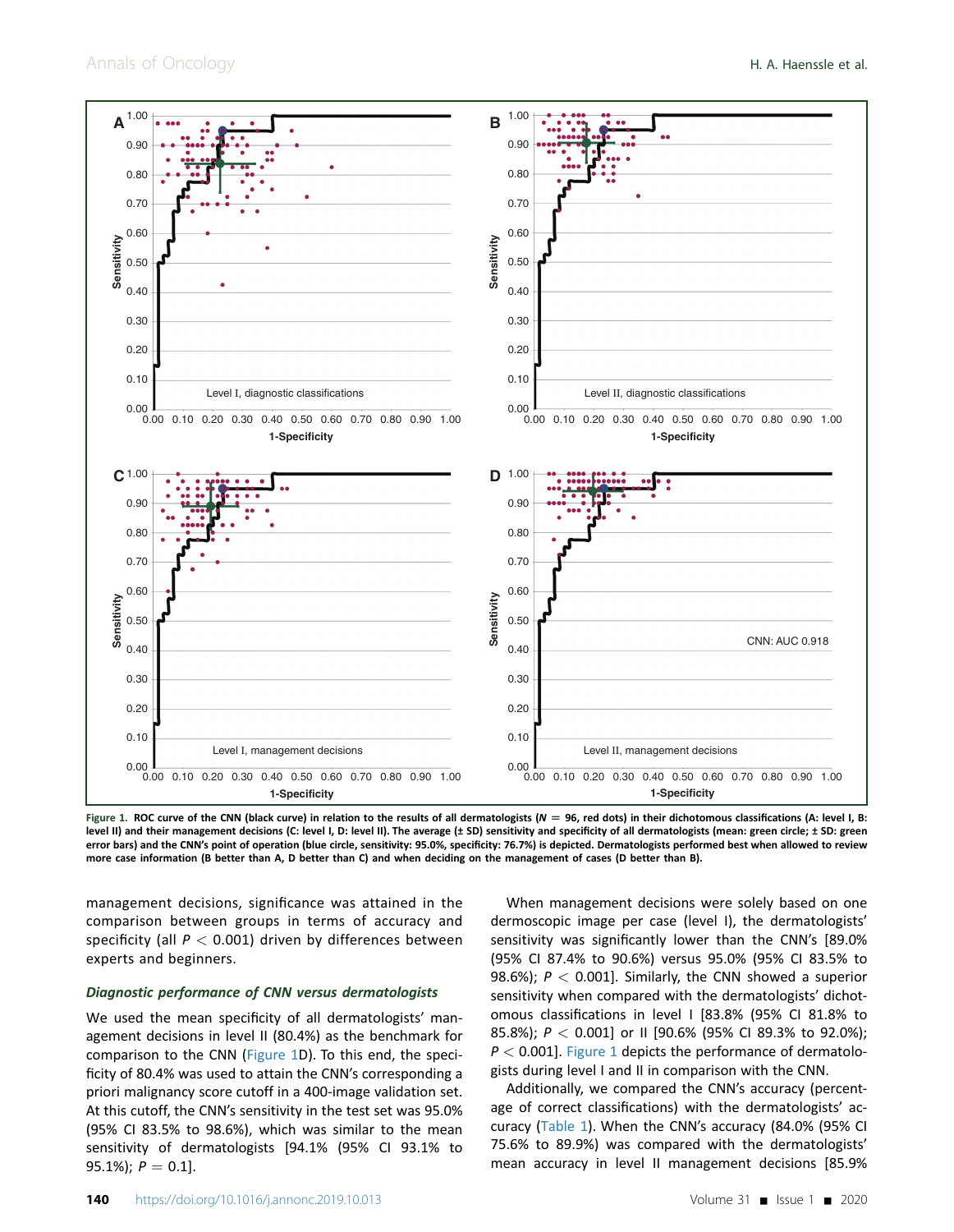<span id="page-3-0"></span>

Figure 1. ROC curve of the CNN (black curve) in relation to the results of all dermatologists ( $N = 96$ , red dots) in their dichotomous classifications (A: level I, B: level II) and their management decisions (C: level I, D: level II). The average (± SD) sensitivity and specificity of all dermatologists (mean: green circle; ± SD: green error bars) and the CNN's point of operation (blue circle, sensitivity: 95.0%, specificity: 76.7%) is depicted. Dermatologists performed best when allowed to review more case information (B better than A, D better than C) and when deciding on the management of cases (D better than B).

management decisions, significance was attained in the comparison between groups in terms of accuracy and specificity (all  $P < 0.001$ ) driven by differences between experts and beginners.

# Diagnostic performance of CNN versus dermatologists

We used the mean specificity of all dermatologists' management decisions in level II (80.4%) as the benchmark for comparison to the CNN (Figure 1D). To this end, the specificity of 80.4% was used to attain the CNN's corresponding a priori malignancy score cutoff in a 400-image validation set. At this cutoff, the CNN's sensitivity in the test set was 95.0% (95% CI 83.5% to 98.6%), which was similar to the mean sensitivity of dermatologists [94.1% (95% CI 93.1% to 95.1%);  $P = 0.1$ .

When management decisions were solely based on one dermoscopic image per case (level I), the dermatologists' sensitivity was significantly lower than the CNN's [89.0% (95% CI 87.4% to 90.6%) versus 95.0% (95% CI 83.5% to 98.6%);  $P < 0.001$ ]. Similarly, the CNN showed a superior sensitivity when compared with the dermatologists' dichotomous classifications in level I [83.8% (95% CI 81.8% to 85.8%);  $P < 0.001$ ] or II [90.6% (95% CI 89.3% to 92.0%);  $P < 0.001$ ]. Figure 1 depicts the performance of dermatologists during level I and II in comparison with the CNN.

Additionally, we compared the CNN's accuracy (percentage of correct classifications) with the dermatologists' accuracy [\(Table 1\)](#page-4-0). When the CNN's accuracy (84.0% (95% CI 75.6% to 89.9%) was compared with the dermatologists' mean accuracy in level II management decisions [85.9%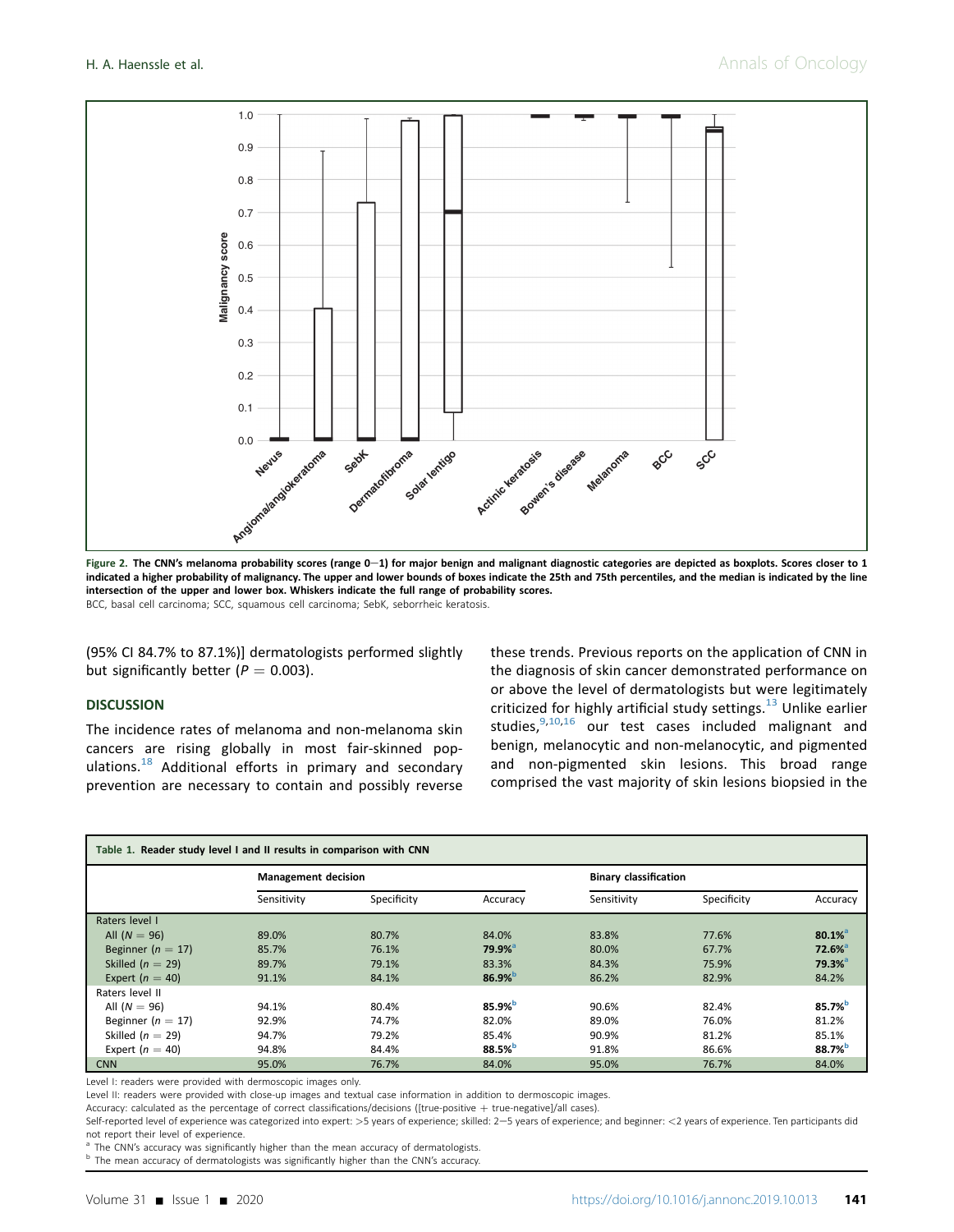<span id="page-4-0"></span>

Figure 2. The CNN's melanoma probability scores (range 0-1) for major benign and malignant diagnostic categories are depicted as boxplots. Scores closer to 1 indicated a higher probability of malignancy. The upper and lower bounds of boxes indicate the 25th and 75th percentiles, and the median is indicated by the line intersection of the upper and lower box. Whiskers indicate the full range of probability scores. BCC, basal cell carcinoma; SCC, squamous cell carcinoma; SebK, seborrheic keratosis.

(95% CI 84.7% to 87.1%)] dermatologists performed slightly but significantly better ( $P = 0.003$ ).

# **DISCUSSION**

The incidence rates of melanoma and non-melanoma skin cancers are rising globally in most fair-skinned populations.[18](#page-6-0) Additional efforts in primary and secondary prevention are necessary to contain and possibly reverse these trends. Previous reports on the application of CNN in the diagnosis of skin cancer demonstrated performance on or above the level of dermatologists but were legitimately criticized for highly artificial study settings. $^{13}$  $^{13}$  $^{13}$  Unlike earlier studies, $9,10,16$  our test cases included malignant and benign, melanocytic and non-melanocytic, and pigmented and non-pigmented skin lesions. This broad range comprised the vast majority of skin lesions biopsied in the

| Table 1. Reader study level I and II results in comparison with CNN |                            |             |                    |                              |             |                      |
|---------------------------------------------------------------------|----------------------------|-------------|--------------------|------------------------------|-------------|----------------------|
|                                                                     | <b>Management decision</b> |             |                    | <b>Binary classification</b> |             |                      |
|                                                                     | Sensitivity                | Specificity | Accuracy           | Sensitivity                  | Specificity | Accuracy             |
| Raters level I                                                      |                            |             |                    |                              |             |                      |
| All $(N = 96)$                                                      | 89.0%                      | 80.7%       | 84.0%              | 83.8%                        | 77.6%       | $80.1%$ <sup>a</sup> |
| Beginner ( $n = 17$ )                                               | 85.7%                      | 76.1%       | 79.9% <sup>a</sup> | 80.0%                        | 67.7%       | $72.6%$ <sup>a</sup> |
| Skilled ( $n = 29$ )                                                | 89.7%                      | 79.1%       | 83.3%              | 84.3%                        | 75.9%       | $79.3%$ <sup>a</sup> |
| Expert $(n = 40)$                                                   | 91.1%                      | 84.1%       | 86.9%              | 86.2%                        | 82.9%       | 84.2%                |
| Raters level II                                                     |                            |             |                    |                              |             |                      |
| All $(N = 96)$                                                      | 94.1%                      | 80.4%       | 85.9% <sup>b</sup> | 90.6%                        | 82.4%       | 85.7%b               |
| Beginner ( $n = 17$ )                                               | 92.9%                      | 74.7%       | 82.0%              | 89.0%                        | 76.0%       | 81.2%                |
| Skilled ( $n = 29$ )                                                | 94.7%                      | 79.2%       | 85.4%              | 90.9%                        | 81.2%       | 85.1%                |
| Expert $(n = 40)$                                                   | 94.8%                      | 84.4%       | 88.5% <sup>b</sup> | 91.8%                        | 86.6%       | 88.7% <sup>b</sup>   |
| <b>CNN</b>                                                          | 95.0%                      | 76.7%       | 84.0%              | 95.0%                        | 76.7%       | 84.0%                |

Level I: readers were provided with dermoscopic images only.

Level II: readers were provided with close-up images and textual case information in addition to dermoscopic images.

Accuracy: calculated as the percentage of correct classifications/decisions ([true-positive  $+$  true-negative]/all cases).

Self-reported level of experience was categorized into expert: >5 years of experience; skilled: 2-5 years of experience; and beginner: <2 years of experience. Ten participants did

not report their level of experience.

<sup>a</sup> The CNN's accuracy was significantly higher than the mean accuracy of dermatologists.<br><sup>b</sup> The mean accuracy of dermatologists was significantly higher than the CNN's accuracy.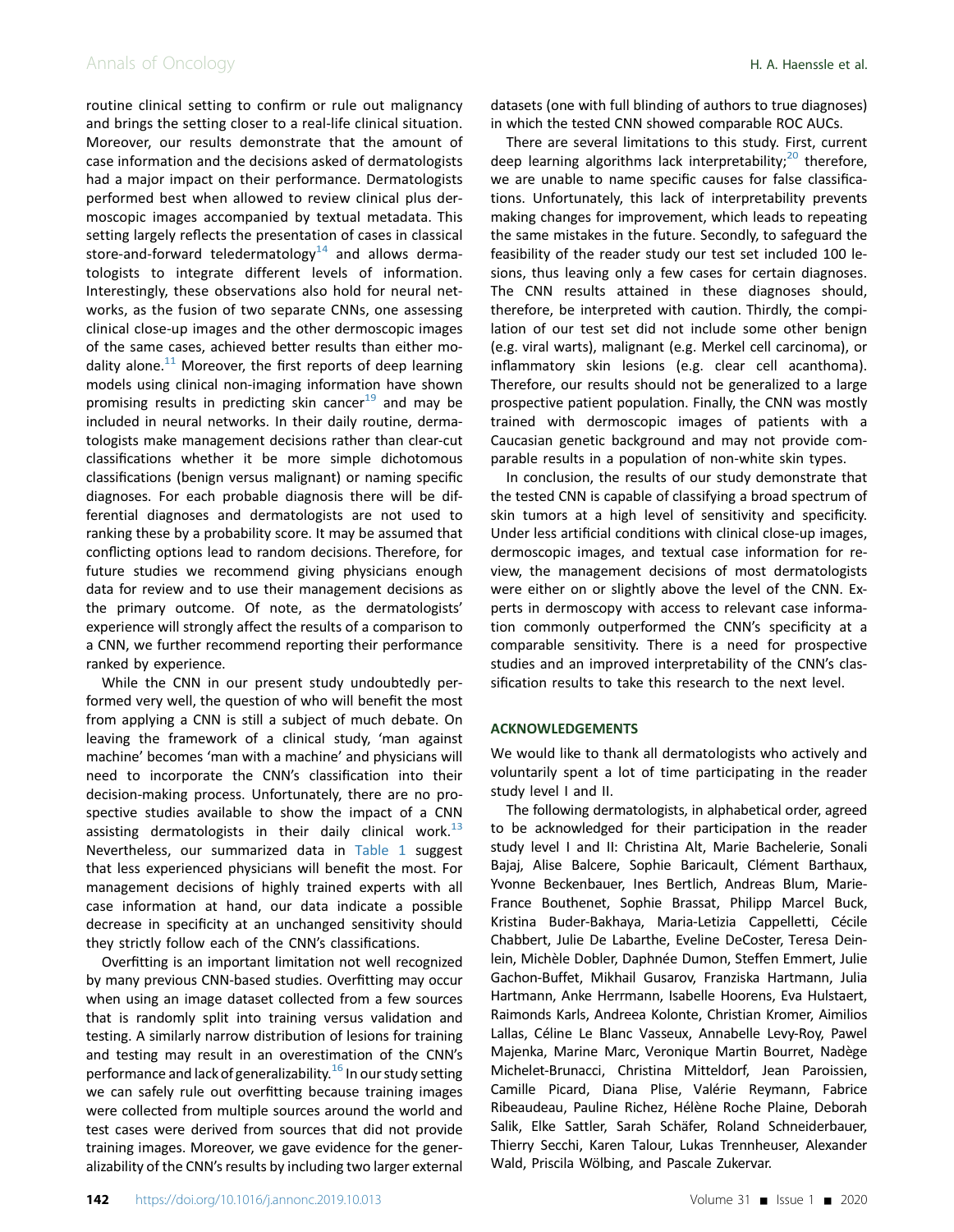# Annals of Oncology **H. A. Haenssle et al.**

routine clinical setting to confirm or rule out malignancy and brings the setting closer to a real-life clinical situation. Moreover, our results demonstrate that the amount of case information and the decisions asked of dermatologists had a major impact on their performance. Dermatologists performed best when allowed to review clinical plus dermoscopic images accompanied by textual metadata. This setting largely reflects the presentation of cases in classical store-and-forward teledermatology $14$  and allows dermatologists to integrate different levels of information. Interestingly, these observations also hold for neural networks, as the fusion of two separate CNNs, one assessing clinical close-up images and the other dermoscopic images of the same cases, achieved better results than either modality alone. $11$  Moreover, the first reports of deep learning models using clinical non-imaging information have shown promising results in predicting skin cancer<sup>19</sup> and may be included in neural networks. In their daily routine, dermatologists make management decisions rather than clear-cut classifications whether it be more simple dichotomous classifications (benign versus malignant) or naming specific diagnoses. For each probable diagnosis there will be differential diagnoses and dermatologists are not used to ranking these by a probability score. It may be assumed that conflicting options lead to random decisions. Therefore, for future studies we recommend giving physicians enough data for review and to use their management decisions as the primary outcome. Of note, as the dermatologists' experience will strongly affect the results of a comparison to a CNN, we further recommend reporting their performance ranked by experience.

While the CNN in our present study undoubtedly performed very well, the question of who will benefit the most from applying a CNN is still a subject of much debate. On leaving the framework of a clinical study, 'man against machine' becomes 'man with a machine' and physicians will need to incorporate the CNN's classification into their decision-making process. Unfortunately, there are no prospective studies available to show the impact of a CNN assisting dermatologists in their daily clinical work.<sup>[13](#page-6-0)</sup> Nevertheless, our summarized data in [Table 1](#page-4-0) suggest that less experienced physicians will benefit the most. For management decisions of highly trained experts with all case information at hand, our data indicate a possible decrease in specificity at an unchanged sensitivity should they strictly follow each of the CNN's classifications.

Overfitting is an important limitation not well recognized by many previous CNN-based studies. Overfitting may occur when using an image dataset collected from a few sources that is randomly split into training versus validation and testing. A similarly narrow distribution of lesions for training and testing may result in an overestimation of the CNN's performance and lack of generalizability.<sup>[16](#page-6-0)</sup> In our study setting we can safely rule out overfitting because training images were collected from multiple sources around the world and test cases were derived from sources that did not provide training images. Moreover, we gave evidence for the generalizability of the CNN's results by including two larger external

datasets (one with full blinding of authors to true diagnoses) in which the tested CNN showed comparable ROC AUCs.

There are several limitations to this study. First, current deep learning algorithms lack interpretability; $^{20}$  $^{20}$  $^{20}$  therefore, we are unable to name specific causes for false classifications. Unfortunately, this lack of interpretability prevents making changes for improvement, which leads to repeating the same mistakes in the future. Secondly, to safeguard the feasibility of the reader study our test set included 100 lesions, thus leaving only a few cases for certain diagnoses. The CNN results attained in these diagnoses should, therefore, be interpreted with caution. Thirdly, the compilation of our test set did not include some other benign (e.g. viral warts), malignant (e.g. Merkel cell carcinoma), or inflammatory skin lesions (e.g. clear cell acanthoma). Therefore, our results should not be generalized to a large prospective patient population. Finally, the CNN was mostly trained with dermoscopic images of patients with a Caucasian genetic background and may not provide comparable results in a population of non-white skin types.

In conclusion, the results of our study demonstrate that the tested CNN is capable of classifying a broad spectrum of skin tumors at a high level of sensitivity and specificity. Under less artificial conditions with clinical close-up images, dermoscopic images, and textual case information for review, the management decisions of most dermatologists were either on or slightly above the level of the CNN. Experts in dermoscopy with access to relevant case information commonly outperformed the CNN's specificity at a comparable sensitivity. There is a need for prospective studies and an improved interpretability of the CNN's classification results to take this research to the next level.

# ACKNOWLEDGEMENTS

We would like to thank all dermatologists who actively and voluntarily spent a lot of time participating in the reader study level I and II.

The following dermatologists, in alphabetical order, agreed to be acknowledged for their participation in the reader study level I and II: Christina Alt, Marie Bachelerie, Sonali Bajaj, Alise Balcere, Sophie Baricault, Clément Barthaux, Yvonne Beckenbauer, Ines Bertlich, Andreas Blum, Marie-France Bouthenet, Sophie Brassat, Philipp Marcel Buck, Kristina Buder-Bakhaya, Maria-Letizia Cappelletti, Cécile Chabbert, Julie De Labarthe, Eveline DeCoster, Teresa Deinlein, Michèle Dobler, Daphnée Dumon, Steffen Emmert, Julie Gachon-Buffet, Mikhail Gusarov, Franziska Hartmann, Julia Hartmann, Anke Herrmann, Isabelle Hoorens, Eva Hulstaert, Raimonds Karls, Andreea Kolonte, Christian Kromer, Aimilios Lallas, Céline Le Blanc Vasseux, Annabelle Levy-Roy, Pawel Majenka, Marine Marc, Veronique Martin Bourret, Nadège Michelet-Brunacci, Christina Mitteldorf, Jean Paroissien, Camille Picard, Diana Plise, Valérie Reymann, Fabrice Ribeaudeau, Pauline Richez, Hélène Roche Plaine, Deborah Salik, Elke Sattler, Sarah Schäfer, Roland Schneiderbauer, Thierry Secchi, Karen Talour, Lukas Trennheuser, Alexander Wald, Priscila Wölbing, and Pascale Zukervar.